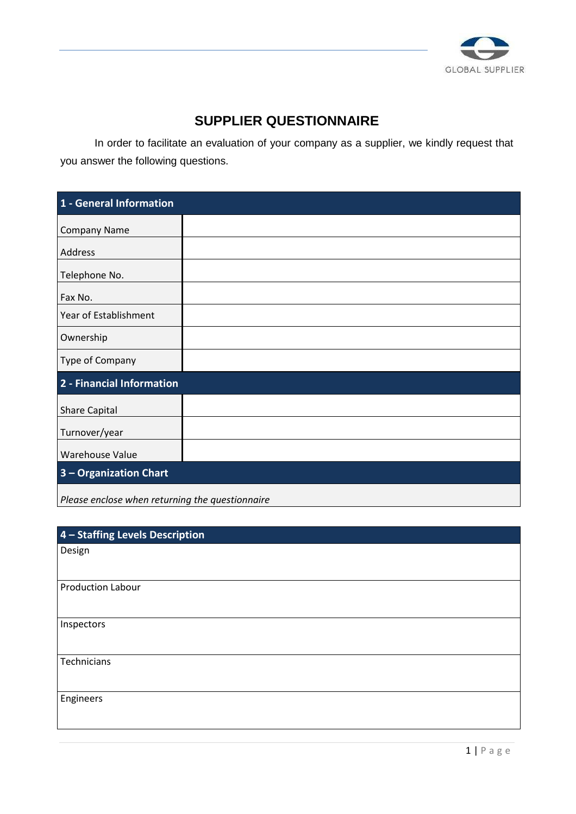

## **SUPPLIER QUESTIONNAIRE**

 In order to facilitate an evaluation of your company as a supplier, we kindly request that you answer the following questions.

| 1 - General Information   |  |
|---------------------------|--|
| <b>Company Name</b>       |  |
| Address                   |  |
| Telephone No.             |  |
| Fax No.                   |  |
| Year of Establishment     |  |
| Ownership                 |  |
| Type of Company           |  |
| 2 - Financial Information |  |
| Share Capital             |  |
| Turnover/year             |  |
| Warehouse Value           |  |
| 3 - Organization Chart    |  |
|                           |  |

*Please enclose when returning the questionnaire* 

| 4 - Staffing Levels Description |
|---------------------------------|
| Design                          |
|                                 |
| <b>Production Labour</b>        |
|                                 |
| Inspectors                      |
|                                 |
| Technicians                     |
|                                 |
| Engineers                       |
|                                 |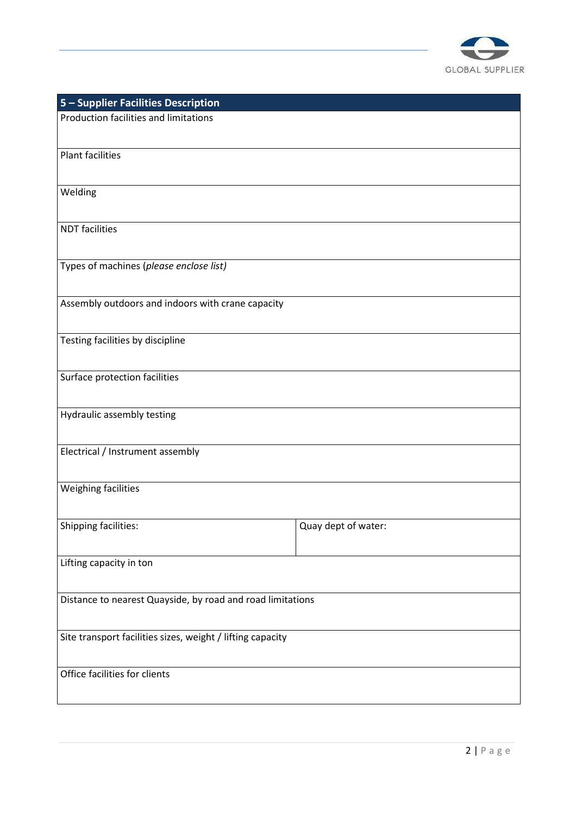

| 5 - Supplier Facilities Description                        |                     |  |  |
|------------------------------------------------------------|---------------------|--|--|
| Production facilities and limitations                      |                     |  |  |
|                                                            |                     |  |  |
| <b>Plant facilities</b>                                    |                     |  |  |
|                                                            |                     |  |  |
| Welding                                                    |                     |  |  |
|                                                            |                     |  |  |
| <b>NDT</b> facilities                                      |                     |  |  |
|                                                            |                     |  |  |
| Types of machines (please enclose list)                    |                     |  |  |
|                                                            |                     |  |  |
| Assembly outdoors and indoors with crane capacity          |                     |  |  |
|                                                            |                     |  |  |
| Testing facilities by discipline                           |                     |  |  |
|                                                            |                     |  |  |
| Surface protection facilities                              |                     |  |  |
|                                                            |                     |  |  |
| Hydraulic assembly testing                                 |                     |  |  |
|                                                            |                     |  |  |
| Electrical / Instrument assembly                           |                     |  |  |
|                                                            |                     |  |  |
| Weighing facilities                                        |                     |  |  |
|                                                            |                     |  |  |
| Shipping facilities:                                       | Quay dept of water: |  |  |
|                                                            |                     |  |  |
| Lifting capacity in ton                                    |                     |  |  |
|                                                            |                     |  |  |
| Distance to nearest Quayside, by road and road limitations |                     |  |  |
|                                                            |                     |  |  |
| Site transport facilities sizes, weight / lifting capacity |                     |  |  |
|                                                            |                     |  |  |
| Office facilities for clients                              |                     |  |  |
|                                                            |                     |  |  |
|                                                            |                     |  |  |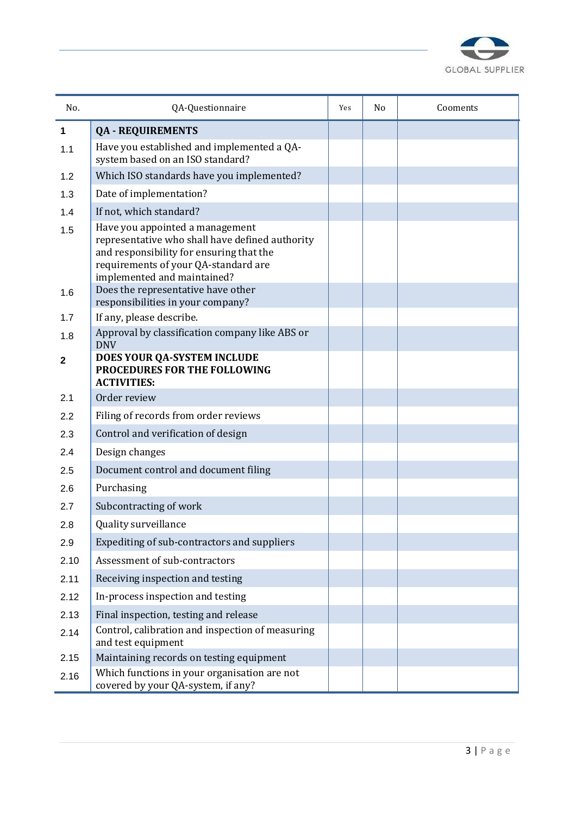

| No.  | QA-Questionnaire                                                                                                                                                                                      | Yes | No | Cooments |
|------|-------------------------------------------------------------------------------------------------------------------------------------------------------------------------------------------------------|-----|----|----------|
| 1    | <b>QA - REQUIREMENTS</b>                                                                                                                                                                              |     |    |          |
| 1.1  | Have you established and implemented a QA-<br>system based on an ISO standard?                                                                                                                        |     |    |          |
| 1.2  | Which ISO standards have you implemented?                                                                                                                                                             |     |    |          |
| 1.3  | Date of implementation?                                                                                                                                                                               |     |    |          |
| 1.4  | If not, which standard?                                                                                                                                                                               |     |    |          |
| 1.5  | Have you appointed a management<br>representative who shall have defined authority<br>and responsibility for ensuring that the<br>requirements of your QA-standard are<br>implemented and maintained? |     |    |          |
| 1.6  | Does the representative have other<br>responsibilities in your company?                                                                                                                               |     |    |          |
| 1.7  | If any, please describe.                                                                                                                                                                              |     |    |          |
| 1.8  | Approval by classification company like ABS or                                                                                                                                                        |     |    |          |
| 2    | <b>DNV</b><br>DOES YOUR QA-SYSTEM INCLUDE<br>PROCEDURES FOR THE FOLLOWING<br><b>ACTIVITIES:</b>                                                                                                       |     |    |          |
| 2.1  | Order review                                                                                                                                                                                          |     |    |          |
| 2.2  | Filing of records from order reviews                                                                                                                                                                  |     |    |          |
| 2.3  | Control and verification of design                                                                                                                                                                    |     |    |          |
| 2.4  | Design changes                                                                                                                                                                                        |     |    |          |
| 2.5  | Document control and document filing                                                                                                                                                                  |     |    |          |
| 2.6  | Purchasing                                                                                                                                                                                            |     |    |          |
| 2.7  | Subcontracting of work                                                                                                                                                                                |     |    |          |
| 2.8  | Quality surveillance                                                                                                                                                                                  |     |    |          |
| 2.9  | Expediting of sub-contractors and suppliers                                                                                                                                                           |     |    |          |
| 2.10 | Assessment of sub-contractors                                                                                                                                                                         |     |    |          |
| 2.11 | Receiving inspection and testing                                                                                                                                                                      |     |    |          |
| 2.12 | In-process inspection and testing                                                                                                                                                                     |     |    |          |
| 2.13 | Final inspection, testing and release                                                                                                                                                                 |     |    |          |
| 2.14 | Control, calibration and inspection of measuring<br>and test equipment                                                                                                                                |     |    |          |
| 2.15 | Maintaining records on testing equipment                                                                                                                                                              |     |    |          |
| 2.16 | Which functions in your organisation are not<br>covered by your QA-system, if any?                                                                                                                    |     |    |          |